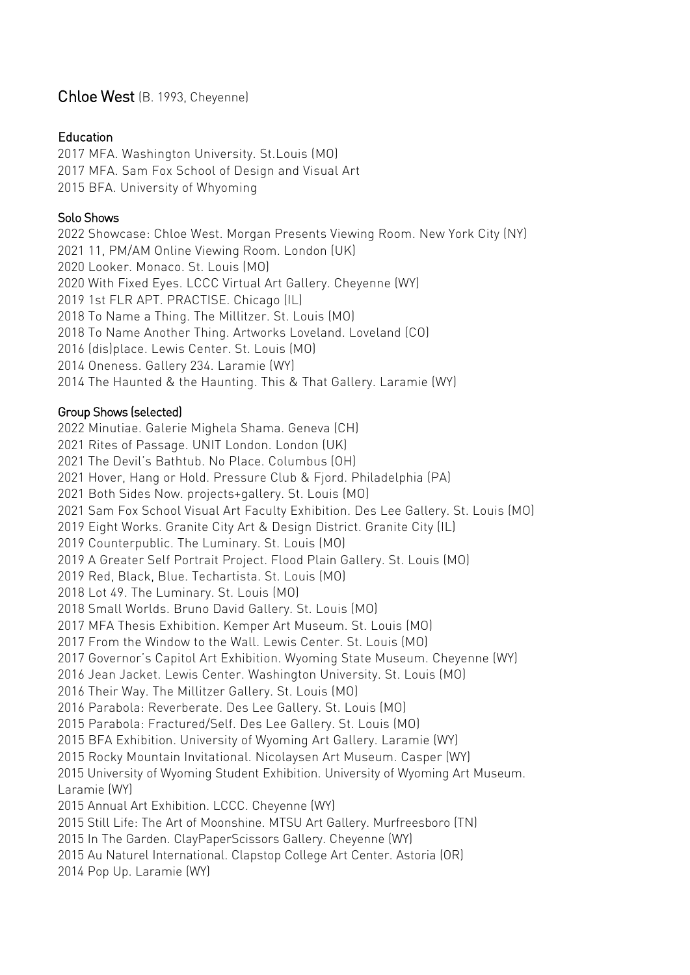# Chloe West (B. 1993, Cheyenne)

#### Education

2017 MFA. Washington University. St.Louis (MO) 2017 MFA. Sam Fox School of Design and Visual Art 2015 BFA. University of Whyoming

### Solo Shows

2022 Showcase: Chloe West. Morgan Presents Viewing Room. New York City (NY) 11, PM/AM Online Viewing Room. London (UK) Looker. Monaco. St. Louis (MO) With Fixed Eyes. LCCC Virtual Art Gallery. Cheyenne (WY) 1st FLR APT. PRACTISE. Chicago (IL) To Name a Thing. The Millitzer. St. Louis (MO) To Name Another Thing. Artworks Loveland. Loveland (CO) (dis)place. Lewis Center. St. Louis (MO) Oneness. Gallery 234. Laramie (WY) The Haunted & the Haunting. This & That Gallery. Laramie (WY)

## Group Shows (selected)

2022 Minutiae. Galerie Mighela Shama. Geneva (CH) Rites of Passage. UNIT London. London (UK) The Devil's Bathtub. No Place. Columbus (OH) Hover, Hang or Hold. Pressure Club & Fjord. Philadelphia (PA) Both Sides Now. projects+gallery. St. Louis (MO) Sam Fox School Visual Art Faculty Exhibition. Des Lee Gallery. St. Louis (MO) Eight Works. Granite City Art & Design District. Granite City (IL) Counterpublic. The Luminary. St. Louis (MO) A Greater Self Portrait Project. Flood Plain Gallery. St. Louis (MO) Red, Black, Blue. Techartista. St. Louis (MO) Lot 49. The Luminary. St. Louis (MO) Small Worlds. Bruno David Gallery. St. Louis (MO) MFA Thesis Exhibition. Kemper Art Museum. St. Louis (MO) From the Window to the Wall. Lewis Center. St. Louis (MO) Governor's Capitol Art Exhibition. Wyoming State Museum. Cheyenne (WY) Jean Jacket. Lewis Center. Washington University. St. Louis (MO) Their Way. The Millitzer Gallery. St. Louis (MO) Parabola: Reverberate. Des Lee Gallery. St. Louis (MO) Parabola: Fractured/Self. Des Lee Gallery. St. Louis (MO) BFA Exhibition. University of Wyoming Art Gallery. Laramie (WY) Rocky Mountain Invitational. Nicolaysen Art Museum. Casper (WY) 2015 University of Wyoming Student Exhibition. University of Wyoming Art Museum. Laramie (WY) 2015 Annual Art Exhibition. LCCC. Cheyenne (WY) 2015 Still Life: The Art of Moonshine. MTSU Art Gallery. Murfreesboro (TN) 2015 In The Garden. ClayPaperScissors Gallery. Cheyenne (WY) 2015 Au Naturel International. Clapstop College Art Center. Astoria (OR)

2014 Pop Up. Laramie (WY)